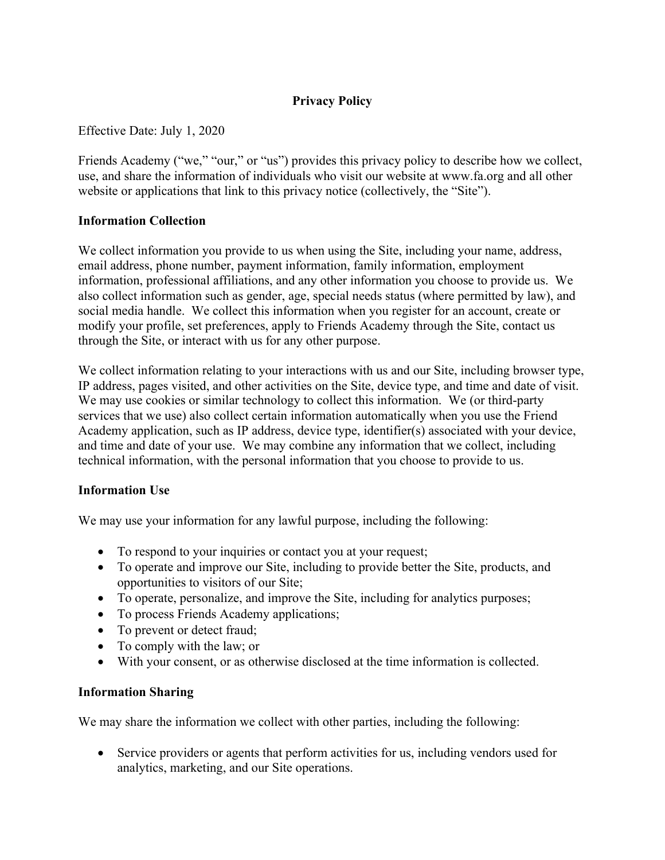# **Privacy Policy**

Effective Date: July 1, 2020

Friends Academy ("we," "our," or "us") provides this privacy policy to describe how we collect, use, and share the information of individuals who visit our website at www.fa.org and all other website or applications that link to this privacy notice (collectively, the "Site").

#### **Information Collection**

We collect information you provide to us when using the Site, including your name, address, email address, phone number, payment information, family information, employment information, professional affiliations, and any other information you choose to provide us. We also collect information such as gender, age, special needs status (where permitted by law), and social media handle. We collect this information when you register for an account, create or modify your profile, set preferences, apply to Friends Academy through the Site, contact us through the Site, or interact with us for any other purpose.

We collect information relating to your interactions with us and our Site, including browser type, IP address, pages visited, and other activities on the Site, device type, and time and date of visit. We may use cookies or similar technology to collect this information. We (or third-party services that we use) also collect certain information automatically when you use the Friend Academy application, such as IP address, device type, identifier(s) associated with your device, and time and date of your use. We may combine any information that we collect, including technical information, with the personal information that you choose to provide to us.

### **Information Use**

We may use your information for any lawful purpose, including the following:

- To respond to your inquiries or contact you at your request;
- To operate and improve our Site, including to provide better the Site, products, and opportunities to visitors of our Site;
- To operate, personalize, and improve the Site, including for analytics purposes;
- To process Friends Academy applications;
- To prevent or detect fraud;
- To comply with the law; or
- With your consent, or as otherwise disclosed at the time information is collected.

#### **Information Sharing**

We may share the information we collect with other parties, including the following:

• Service providers or agents that perform activities for us, including vendors used for analytics, marketing, and our Site operations.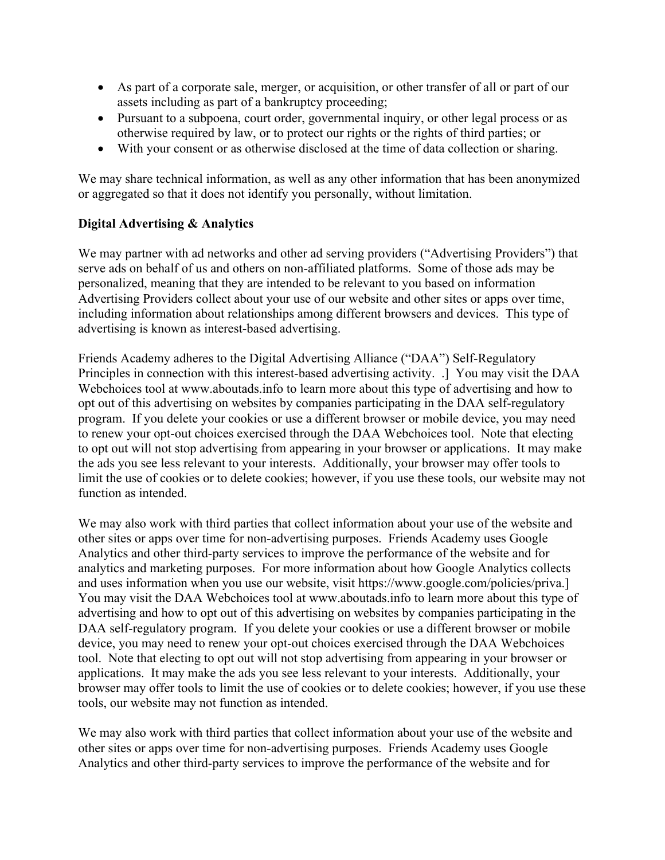- As part of a corporate sale, merger, or acquisition, or other transfer of all or part of our assets including as part of a bankruptcy proceeding;
- Pursuant to a subpoena, court order, governmental inquiry, or other legal process or as otherwise required by law, or to protect our rights or the rights of third parties; or
- With your consent or as otherwise disclosed at the time of data collection or sharing.

We may share technical information, as well as any other information that has been anonymized or aggregated so that it does not identify you personally, without limitation.

## **Digital Advertising & Analytics**

We may partner with ad networks and other ad serving providers ("Advertising Providers") that serve ads on behalf of us and others on non-affiliated platforms. Some of those ads may be personalized, meaning that they are intended to be relevant to you based on information Advertising Providers collect about your use of our website and other sites or apps over time, including information about relationships among different browsers and devices. This type of advertising is known as interest-based advertising.

Friends Academy adheres to the Digital Advertising Alliance ("DAA") Self-Regulatory Principles in connection with this interest-based advertising activity. .] You may visit the DAA Webchoices tool at www.aboutads.info to learn more about this type of advertising and how to opt out of this advertising on websites by companies participating in the DAA self-regulatory program. If you delete your cookies or use a different browser or mobile device, you may need to renew your opt-out choices exercised through the DAA Webchoices tool. Note that electing to opt out will not stop advertising from appearing in your browser or applications. It may make the ads you see less relevant to your interests. Additionally, your browser may offer tools to limit the use of cookies or to delete cookies; however, if you use these tools, our website may not function as intended.

We may also work with third parties that collect information about your use of the website and other sites or apps over time for non-advertising purposes. Friends Academy uses Google Analytics and other third-party services to improve the performance of the website and for analytics and marketing purposes. For more information about how Google Analytics collects and uses information when you use our website, visit https://www.google.com/policies/priva.] You may visit the DAA Webchoices tool at www.aboutads.info to learn more about this type of advertising and how to opt out of this advertising on websites by companies participating in the DAA self-regulatory program. If you delete your cookies or use a different browser or mobile device, you may need to renew your opt-out choices exercised through the DAA Webchoices tool. Note that electing to opt out will not stop advertising from appearing in your browser or applications. It may make the ads you see less relevant to your interests. Additionally, your browser may offer tools to limit the use of cookies or to delete cookies; however, if you use these tools, our website may not function as intended.

We may also work with third parties that collect information about your use of the website and other sites or apps over time for non-advertising purposes. Friends Academy uses Google Analytics and other third-party services to improve the performance of the website and for